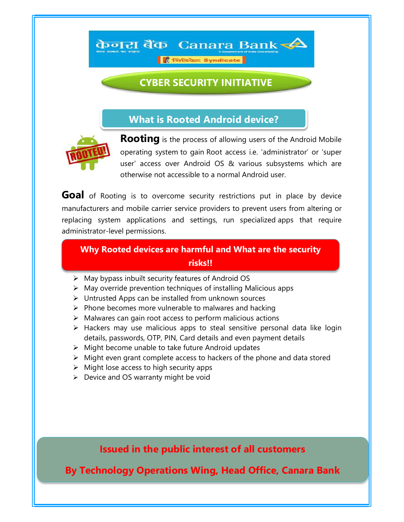**OF** Tirtsdaz Syndicate

केनरा बैंक Canara Bank < $\blacktriangle$ 

## CYBER SECURITY INITIATIVE

i

What is Rooted Android device?



**Rooting** is the process of allowing users of the Android Mobile operating system to gain Root access i.e. 'administrator' or 'super user' access over Android OS & various subsystems which are otherwise not accessible to a normal Android user.

Goal of Rooting is to overcome security restrictions put in place by device manufacturers and mobile carrier service providers to prevent users from altering or replacing system applications and settings, run specialized apps that require administrator-level permissions.

## Why Rooted devices are harmful and What are the security risks!!

- $\triangleright$  May bypass inbuilt security features of Android OS
- $\triangleright$  May override prevention techniques of installing Malicious apps
- Untrusted Apps can be installed from unknown sources
- $\triangleright$  Phone becomes more vulnerable to malwares and hacking
- $\triangleright$  Malwares can gain root access to perform malicious actions
- $\triangleright$  Hackers may use malicious apps to steal sensitive personal data like login details, passwords, OTP, PIN, Card details and even payment details
- $\triangleright$  Might become unable to take future Android updates
- $\triangleright$  Might even grant complete access to hackers of the phone and data stored
- $\triangleright$  Might lose access to high security apps
- $\triangleright$  Device and OS warranty might be void

Issued in the public interest of all customers

By Technology Operations Wing, Head Office, Canara Bank